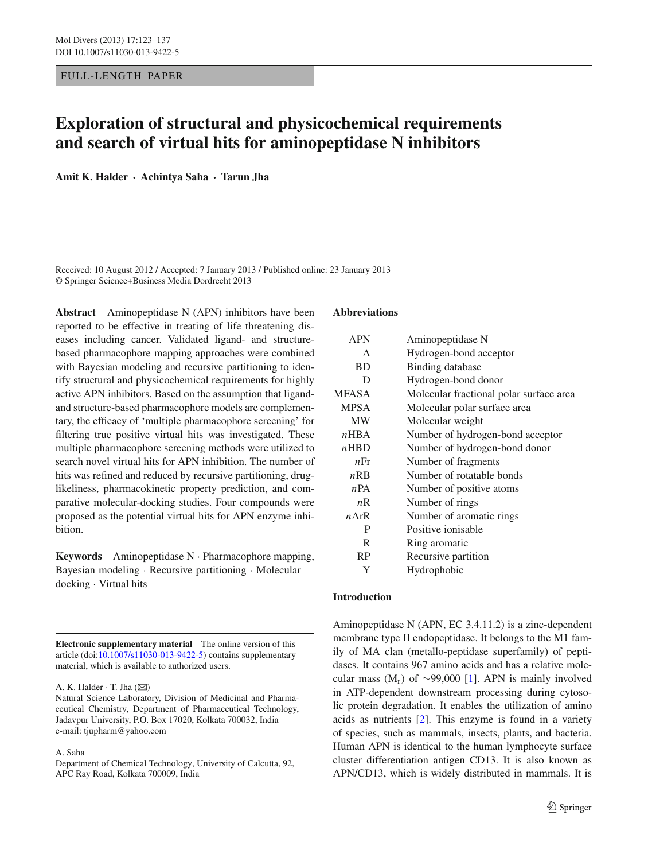## FULL -LENGTH PAPER

# **Exploration of structural and physicochemical requirements and search of virtual hits for aminopeptidase N inhibitors**

**Amit K. Halder · Achintya Saha · Tarun Jha**

Received: 10 August 2012 / Accepted: 7 January 2013 / Published online: 23 January 2013 © Springer Science+Business Media Dordrecht 2013

**Abstract** Aminopeptidase N (APN) inhibitors have been reported to be effective in treating of life threatening diseases including cancer. Validated ligand- and structurebased pharmacophore mapping approaches were combined with Bayesian modeling and recursive partitioning to identify structural and physicochemical requirements for highly active APN inhibitors. Based on the assumption that ligandand structure-based pharmacophore models are complementary, the efficacy of 'multiple pharmacophore screening' for filtering true positive virtual hits was investigated. These multiple pharmacophore screening methods were utilized to search novel virtual hits for APN inhibition. The number of hits was refined and reduced by recursive partitioning, druglikeliness, pharmacokinetic property prediction, and comparative molecular-docking studies. Four compounds were proposed as the potential virtual hits for APN enzyme inhibition.

**Keywords** Aminopeptidase N · Pharmacophore mapping, Bayesian modeling · Recursive partitioning · Molecular docking · Virtual hits

**Electronic supplementary material** The online version of this article (doi[:10.1007/s11030-013-9422-5\)](http://dx.doi.org/10.1007/s11030-013-9422-5) contains supplementary material, which is available to authorized users.

A. K. Halder  $\cdot$  T. Jha ( $\boxtimes$ )

Natural Science Laboratory, Division of Medicinal and Pharmaceutical Chemistry, Department of Pharmaceutical Technology, Jadavpur University, P.O. Box 17020, Kolkata 700032, India e-mail: tjupharm@yahoo.com

#### A. Saha

Department of Chemical Technology, University of Calcutta, 92, APC Ray Road, Kolkata 700009, India

#### **Abbreviations**

| <b>APN</b>  | Aminopeptidase N                        |
|-------------|-----------------------------------------|
| A           | Hydrogen-bond acceptor                  |
| <b>BD</b>   | <b>Binding database</b>                 |
| D           | Hydrogen-bond donor                     |
| MFASA       | Molecular fractional polar surface area |
| <b>MPSA</b> | Molecular polar surface area            |
| <b>MW</b>   | Molecular weight                        |
| $n$ HBA     | Number of hydrogen-bond acceptor        |
| nHBD        | Number of hydrogen-bond donor           |
| nFr         | Number of fragments                     |
| $n$ RB      | Number of rotatable bonds               |
| nPA         | Number of positive atoms                |
| nR          | Number of rings                         |
| nArR        | Number of aromatic rings                |
| P           | Positive ionisable                      |
| R           | Ring aromatic                           |
| <b>RP</b>   | Recursive partition                     |
| Y           | Hydrophobic                             |

# **Introduction**

Aminopeptidase N (APN, EC 3.4.11.2) is a zinc-dependent membrane type II endopeptidase. It belongs to the M1 family of MA clan (metallo-peptidase superfamily) of peptidases. It contains 967 amino acids and has a relative mole-cular mass (M<sub>r</sub>) of ~99,000 [\[1](#page-12-0)]. APN is mainly involved in ATP-dependent downstream processing during cytosolic protein degradation. It enables the utilization of amino acids as nutrients [\[2\]](#page-12-1). This enzyme is found in a variety of species, such as mammals, insects, plants, and bacteria. Human APN is identical to the human lymphocyte surface cluster differentiation antigen CD13. It is also known as APN/CD13, which is widely distributed in mammals. It is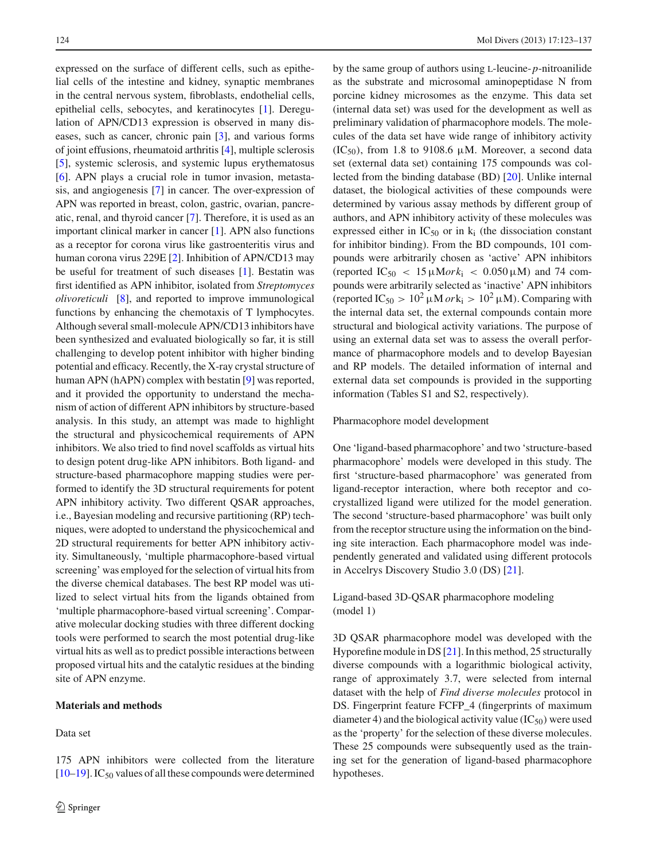expressed on the surface of different cells, such as epithelial cells of the intestine and kidney, synaptic membranes in the central nervous system, fibroblasts, endothelial cells, epithelial cells, sebocytes, and keratinocytes [\[1\]](#page-12-0). Deregulation of APN/CD13 expression is observed in many diseases, such as cancer, chronic pain [\[3\]](#page-12-2), and various forms of joint effusions, rheumatoid arthritis [\[4\]](#page-12-3), multiple sclerosis [\[5](#page-12-4)], systemic sclerosis, and systemic lupus erythematosus [\[6](#page-13-0)]. APN plays a crucial role in tumor invasion, metastasis, and angiogenesis [\[7\]](#page-13-1) in cancer. The over-expression of APN was reported in breast, colon, gastric, ovarian, pancreatic, renal, and thyroid cancer [\[7](#page-13-1)]. Therefore, it is used as an important clinical marker in cancer [\[1](#page-12-0)]. APN also functions as a receptor for corona virus like gastroenteritis virus and human corona virus 229E [\[2](#page-12-1)]. Inhibition of APN/CD13 may be useful for treatment of such diseases [\[1\]](#page-12-0). Bestatin was first identified as APN inhibitor, isolated from *Streptomyces olivoreticuli* [\[8](#page-13-2)], and reported to improve immunological functions by enhancing the chemotaxis of T lymphocytes. Although several small-molecule APN/CD13 inhibitors have been synthesized and evaluated biologically so far, it is still challenging to develop potent inhibitor with higher binding potential and efficacy. Recently, the X-ray crystal structure of human APN (hAPN) complex with bestatin [\[9](#page-13-3)] was reported, and it provided the opportunity to understand the mechanism of action of different APN inhibitors by structure-based analysis. In this study, an attempt was made to highlight the structural and physicochemical requirements of APN inhibitors. We also tried to find novel scaffolds as virtual hits to design potent drug-like APN inhibitors. Both ligand- and structure-based pharmacophore mapping studies were performed to identify the 3D structural requirements for potent APN inhibitory activity. Two different QSAR approaches, i.e., Bayesian modeling and recursive partitioning (RP) techniques, were adopted to understand the physicochemical and 2D structural requirements for better APN inhibitory activity. Simultaneously, 'multiple pharmacophore-based virtual screening' was employed for the selection of virtual hits from the diverse chemical databases. The best RP model was utilized to select virtual hits from the ligands obtained from 'multiple pharmacophore-based virtual screening'. Comparative molecular docking studies with three different docking tools were performed to search the most potential drug-like virtual hits as well as to predict possible interactions between proposed virtual hits and the catalytic residues at the binding site of APN enzyme.

175 APN inhibitors were collected from the literature  $[10–19]$  $[10–19]$  $[10–19]$ . IC<sub>50</sub> values of all these compounds were determined

# **Materials and methods**

# Data set

by the same group of authors using l-leucine-*p*-nitroanilide as the substrate and microsomal aminopeptidase N from porcine kidney microsomes as the enzyme. This data set (internal data set) was used for the development as well as preliminary validation of pharmacophore models. The molecules of the data set have wide range of inhibitory activity  $(IC_{50})$ , from 1.8 to 9108.6 µM. Moreover, a second data set (external data set) containing 175 compounds was collected from the binding database (BD) [\[20\]](#page-13-6). Unlike internal dataset, the biological activities of these compounds were determined by various assay methods by different group of authors, and APN inhibitory activity of these molecules was expressed either in  $IC_{50}$  or in  $k_i$  (the dissociation constant for inhibitor binding). From the BD compounds, 101 compounds were arbitrarily chosen as 'active' APN inhibitors (reported  $IC_{50}$  < 15  $\mu M \text{o} r k_i$  < 0.050  $\mu$ M) and 74 compounds were arbitrarily selected as 'inactive' APN inhibitors (reported IC<sub>50</sub> >  $10^2 \mu M$  *or* k<sub>i</sub> >  $10^2 \mu M$ ). Comparing with the internal data set, the external compounds contain more structural and biological activity variations. The purpose of using an external data set was to assess the overall performance of pharmacophore models and to develop Bayesian and RP models. The detailed information of internal and external data set compounds is provided in the supporting information (Tables S1 and S2, respectively).

Pharmacophore model development

One 'ligand-based pharmacophore' and two 'structure-based pharmacophore' models were developed in this study. The first 'structure-based pharmacophore' was generated from ligand-receptor interaction, where both receptor and cocrystallized ligand were utilized for the model generation. The second 'structure-based pharmacophore' was built only from the receptor structure using the information on the binding site interaction. Each pharmacophore model was independently generated and validated using different protocols in Accelrys Discovery Studio 3.0 (DS) [\[21](#page-13-7)].

Ligand-based 3D-QSAR pharmacophore modeling (model 1)

3D QSAR pharmacophore model was developed with the Hyporefine module in DS [\[21\]](#page-13-7). In this method, 25 structurally diverse compounds with a logarithmic biological activity, range of approximately 3.7, were selected from internal dataset with the help of *Find diverse molecules* protocol in DS. Fingerprint feature FCFP\_4 (fingerprints of maximum diameter 4) and the biological activity value  $(IC_{50})$  were used as the 'property' for the selection of these diverse molecules. These 25 compounds were subsequently used as the training set for the generation of ligand-based pharmacophore hypotheses.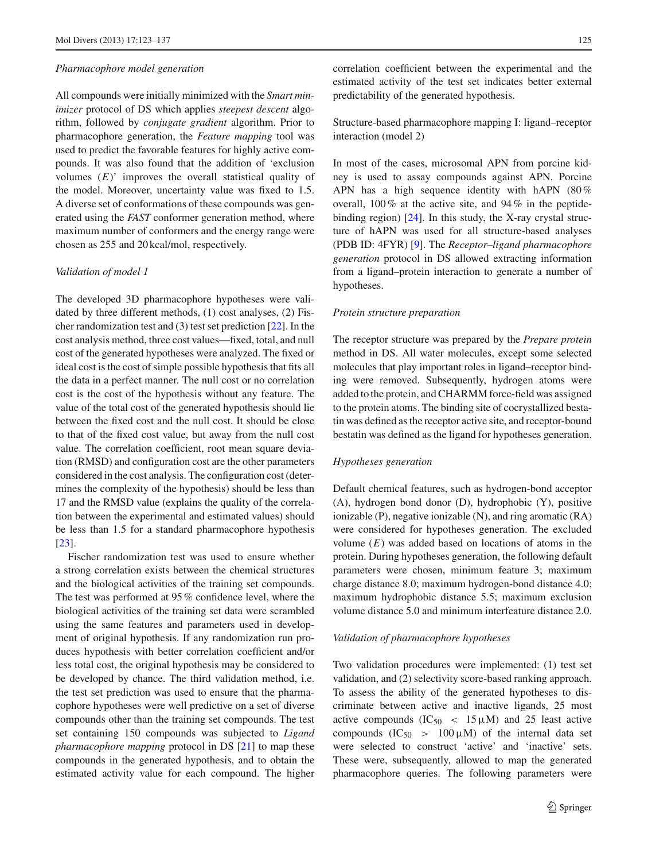#### *Pharmacophore model generation*

All compounds were initially minimized with the *Smart minimizer* protocol of DS which applies *steepest descent* algorithm, followed by *conjugate gradient* algorithm. Prior to pharmacophore generation, the *Feature mapping* tool was used to predict the favorable features for highly active compounds. It was also found that the addition of 'exclusion volumes (*E*)' improves the overall statistical quality of the model. Moreover, uncertainty value was fixed to 1.5. A diverse set of conformations of these compounds was generated using the *FAST* conformer generation method, where maximum number of conformers and the energy range were chosen as 255 and 20 kcal/mol, respectively.

## *Validation of model 1*

The developed 3D pharmacophore hypotheses were validated by three different methods, (1) cost analyses, (2) Fischer randomization test and (3) test set prediction [\[22](#page-13-8)]. In the cost analysis method, three cost values—fixed, total, and null cost of the generated hypotheses were analyzed. The fixed or ideal cost is the cost of simple possible hypothesis that fits all the data in a perfect manner. The null cost or no correlation cost is the cost of the hypothesis without any feature. The value of the total cost of the generated hypothesis should lie between the fixed cost and the null cost. It should be close to that of the fixed cost value, but away from the null cost value. The correlation coefficient, root mean square deviation (RMSD) and configuration cost are the other parameters considered in the cost analysis. The configuration cost (determines the complexity of the hypothesis) should be less than 17 and the RMSD value (explains the quality of the correlation between the experimental and estimated values) should be less than 1.5 for a standard pharmacophore hypothesis [\[23](#page-13-9)].

Fischer randomization test was used to ensure whether a strong correlation exists between the chemical structures and the biological activities of the training set compounds. The test was performed at 95% confidence level, where the biological activities of the training set data were scrambled using the same features and parameters used in development of original hypothesis. If any randomization run produces hypothesis with better correlation coefficient and/or less total cost, the original hypothesis may be considered to be developed by chance. The third validation method, i.e. the test set prediction was used to ensure that the pharmacophore hypotheses were well predictive on a set of diverse compounds other than the training set compounds. The test set containing 150 compounds was subjected to *Ligand pharmacophore mapping* protocol in DS [\[21](#page-13-7)] to map these compounds in the generated hypothesis, and to obtain the estimated activity value for each compound. The higher correlation coefficient between the experimental and the estimated activity of the test set indicates better external predictability of the generated hypothesis.

Structure-based pharmacophore mapping I: ligand–receptor interaction (model 2)

In most of the cases, microsomal APN from porcine kidney is used to assay compounds against APN. Porcine APN has a high sequence identity with hAPN (80% overall, 100% at the active site, and 94% in the peptidebinding region) [\[24\]](#page-13-10). In this study, the X-ray crystal structure of hAPN was used for all structure-based analyses (PDB ID: 4FYR) [\[9\]](#page-13-3). The *Receptor–ligand pharmacophore generation* protocol in DS allowed extracting information from a ligand–protein interaction to generate a number of hypotheses.

#### *Protein structure preparation*

The receptor structure was prepared by the *Prepare protein* method in DS. All water molecules, except some selected molecules that play important roles in ligand–receptor binding were removed. Subsequently, hydrogen atoms were added to the protein, and CHARMM force-field was assigned to the protein atoms. The binding site of cocrystallized bestatin was defined as the receptor active site, and receptor-bound bestatin was defined as the ligand for hypotheses generation.

## *Hypotheses generation*

Default chemical features, such as hydrogen-bond acceptor (A), hydrogen bond donor (D), hydrophobic (Y), positive ionizable (P), negative ionizable (N), and ring aromatic (RA) were considered for hypotheses generation. The excluded volume (*E*) was added based on locations of atoms in the protein. During hypotheses generation, the following default parameters were chosen, minimum feature 3; maximum charge distance 8.0; maximum hydrogen-bond distance 4.0; maximum hydrophobic distance 5.5; maximum exclusion volume distance 5.0 and minimum interfeature distance 2.0.

# *Validation of pharmacophore hypotheses*

Two validation procedures were implemented: (1) test set validation, and (2) selectivity score-based ranking approach. To assess the ability of the generated hypotheses to discriminate between active and inactive ligands, 25 most active compounds (IC<sub>50</sub>  $\lt$  15  $\mu$ M) and 25 least active compounds  $(IC_{50} > 100 \,\mu\text{M})$  of the internal data set were selected to construct 'active' and 'inactive' sets. These were, subsequently, allowed to map the generated pharmacophore queries. The following parameters were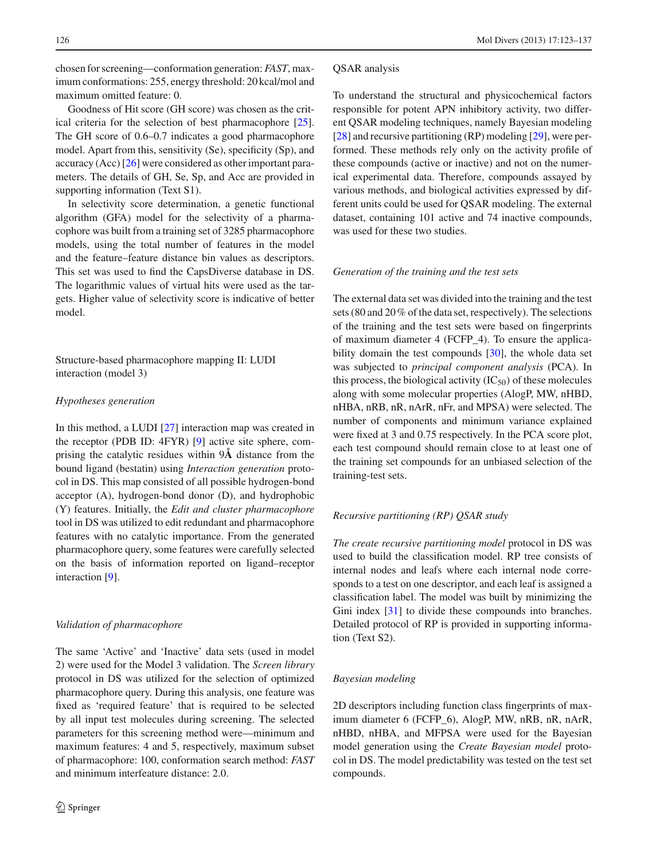chosen for screening—conformation generation: *FAST*, maximum conformations: 255, energy threshold: 20 kcal/mol and maximum omitted feature: 0.

Goodness of Hit score (GH score) was chosen as the critical criteria for the selection of best pharmacophore [\[25](#page-13-11)]. The GH score of 0.6–0.7 indicates a good pharmacophore model. Apart from this, sensitivity (Se), specificity (Sp), and accuracy (Acc) [\[26](#page-13-12)] were considered as other important parameters. The details of GH, Se, Sp, and Acc are provided in supporting information (Text S1).

In selectivity score determination, a genetic functional algorithm (GFA) model for the selectivity of a pharmacophore was built from a training set of 3285 pharmacophore models, using the total number of features in the model and the feature–feature distance bin values as descriptors. This set was used to find the CapsDiverse database in DS. The logarithmic values of virtual hits were used as the targets. Higher value of selectivity score is indicative of better model.

Structure-based pharmacophore mapping II: LUDI interaction (model 3)

#### *Hypotheses generation*

In this method, a LUDI [\[27\]](#page-13-13) interaction map was created in the receptor (PDB ID: 4FYR) [\[9](#page-13-3)] active site sphere, comprising the catalytic residues within 9**Å** distance from the bound ligand (bestatin) using *Interaction generation* protocol in DS. This map consisted of all possible hydrogen-bond acceptor (A), hydrogen-bond donor (D), and hydrophobic (Y) features. Initially, the *Edit and cluster pharmacophore* tool in DS was utilized to edit redundant and pharmacophore features with no catalytic importance. From the generated pharmacophore query, some features were carefully selected on the basis of information reported on ligand–receptor interaction [\[9](#page-13-3)].

#### *Validation of pharmacophore*

The same 'Active' and 'Inactive' data sets (used in model 2) were used for the Model 3 validation. The *Screen library* protocol in DS was utilized for the selection of optimized pharmacophore query. During this analysis, one feature was fixed as 'required feature' that is required to be selected by all input test molecules during screening. The selected parameters for this screening method were—minimum and maximum features: 4 and 5, respectively, maximum subset of pharmacophore: 100, conformation search method: *FAST* and minimum interfeature distance: 2.0.

#### QSAR analysis

To understand the structural and physicochemical factors responsible for potent APN inhibitory activity, two different QSAR modeling techniques, namely Bayesian modeling [\[28](#page-13-14)] and recursive partitioning (RP) modeling [\[29\]](#page-13-15), were performed. These methods rely only on the activity profile of these compounds (active or inactive) and not on the numerical experimental data. Therefore, compounds assayed by various methods, and biological activities expressed by different units could be used for QSAR modeling. The external dataset, containing 101 active and 74 inactive compounds, was used for these two studies.

## *Generation of the training and the test sets*

The external data set was divided into the training and the test sets (80 and 20% of the data set, respectively). The selections of the training and the test sets were based on fingerprints of maximum diameter 4 (FCFP\_4). To ensure the applicability domain the test compounds  $[30]$  $[30]$ , the whole data set was subjected to *principal component analysis* (PCA). In this process, the biological activity  $(IC_{50})$  of these molecules along with some molecular properties (AlogP, MW, nHBD, nHBA, nRB, nR, nArR, nFr, and MPSA) were selected. The number of components and minimum variance explained were fixed at 3 and 0.75 respectively. In the PCA score plot, each test compound should remain close to at least one of the training set compounds for an unbiased selection of the training-test sets.

# *Recursive partitioning (RP) QSAR study*

*The create recursive partitioning model* protocol in DS was used to build the classification model. RP tree consists of internal nodes and leafs where each internal node corresponds to a test on one descriptor, and each leaf is assigned a classification label. The model was built by minimizing the Gini index [\[31\]](#page-13-17) to divide these compounds into branches. Detailed protocol of RP is provided in supporting information (Text S2).

## *Bayesian modeling*

2D descriptors including function class fingerprints of maximum diameter 6 (FCFP\_6), AlogP, MW, nRB, nR, nArR, nHBD, nHBA, and MFPSA were used for the Bayesian model generation using the *Create Bayesian model* protocol in DS. The model predictability was tested on the test set compounds.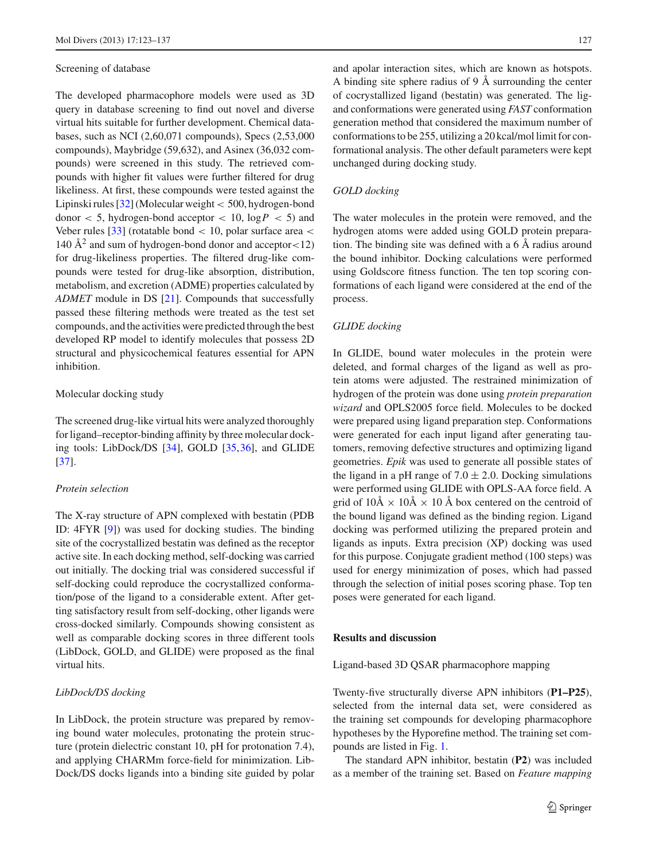#### Screening of database

The developed pharmacophore models were used as 3D query in database screening to find out novel and diverse virtual hits suitable for further development. Chemical databases, such as NCI (2,60,071 compounds), Specs (2,53,000 compounds), Maybridge (59,632), and Asinex (36,032 compounds) were screened in this study. The retrieved compounds with higher fit values were further filtered for drug likeliness. At first, these compounds were tested against the Lipinski rules [\[32\]](#page-13-18) (Molecular weight< 500, hydrogen-bond donor  $< 5$ , hydrogen-bond acceptor  $< 10$ ,  $\log P < 5$ ) and Veber rules  $[33]$  $[33]$  (rotatable bond < 10, polar surface area < 140  $\AA^2$  and sum of hydrogen-bond donor and acceptor <12) for drug-likeliness properties. The filtered drug-like compounds were tested for drug-like absorption, distribution, metabolism, and excretion (ADME) properties calculated by *ADMET* module in DS [\[21](#page-13-7)]. Compounds that successfully passed these filtering methods were treated as the test set compounds, and the activities were predicted through the best developed RP model to identify molecules that possess 2D structural and physicochemical features essential for APN inhibition.

#### Molecular docking study

The screened drug-like virtual hits were analyzed thoroughly for ligand–receptor-binding affinity by three molecular docking tools: LibDock/DS [\[34\]](#page-13-20), GOLD [\[35,](#page-13-21)[36\]](#page-13-22), and GLIDE [\[37](#page-13-23)].

# *Protein selection*

The X-ray structure of APN complexed with bestatin (PDB ID: 4FYR [\[9](#page-13-3)]) was used for docking studies. The binding site of the cocrystallized bestatin was defined as the receptor active site. In each docking method, self-docking was carried out initially. The docking trial was considered successful if self-docking could reproduce the cocrystallized conformation/pose of the ligand to a considerable extent. After getting satisfactory result from self-docking, other ligands were cross-docked similarly. Compounds showing consistent as well as comparable docking scores in three different tools (LibDock, GOLD, and GLIDE) were proposed as the final virtual hits.

## *LibDock/DS docking*

In LibDock, the protein structure was prepared by removing bound water molecules, protonating the protein structure (protein dielectric constant 10, pH for protonation 7.4), and applying CHARMm force-field for minimization. Lib-Dock/DS docks ligands into a binding site guided by polar and apolar interaction sites, which are known as hotspots. A binding site sphere radius of 9 Å surrounding the center of cocrystallized ligand (bestatin) was generated. The ligand conformations were generated using *FAST* conformation generation method that considered the maximum number of conformations to be 255, utilizing a 20 kcal/mol limit for conformational analysis. The other default parameters were kept unchanged during docking study.

## *GOLD docking*

The water molecules in the protein were removed, and the hydrogen atoms were added using GOLD protein preparation. The binding site was defined with a 6 Å radius around the bound inhibitor. Docking calculations were performed using Goldscore fitness function. The ten top scoring conformations of each ligand were considered at the end of the process.

#### *GLIDE docking*

In GLIDE, bound water molecules in the protein were deleted, and formal charges of the ligand as well as protein atoms were adjusted. The restrained minimization of hydrogen of the protein was done using *protein preparation wizard* and OPLS2005 force field. Molecules to be docked were prepared using ligand preparation step. Conformations were generated for each input ligand after generating tautomers, removing defective structures and optimizing ligand geometries. *Epik* was used to generate all possible states of the ligand in a pH range of  $7.0 \pm 2.0$ . Docking simulations were performed using GLIDE with OPLS-AA force field. A grid of  $10\text{\AA} \times 10\text{\AA} \times 10$  Å box centered on the centroid of the bound ligand was defined as the binding region. Ligand docking was performed utilizing the prepared protein and ligands as inputs. Extra precision (XP) docking was used for this purpose. Conjugate gradient method (100 steps) was used for energy minimization of poses, which had passed through the selection of initial poses scoring phase. Top ten poses were generated for each ligand.

# **Results and discussion**

Ligand-based 3D QSAR pharmacophore mapping

Twenty-five structurally diverse APN inhibitors (**P1–P25**), selected from the internal data set, were considered as the training set compounds for developing pharmacophore hypotheses by the Hyporefine method. The training set compounds are listed in Fig. [1.](#page-5-0)

The standard APN inhibitor, bestatin (**P2**) was included as a member of the training set. Based on *Feature mapping*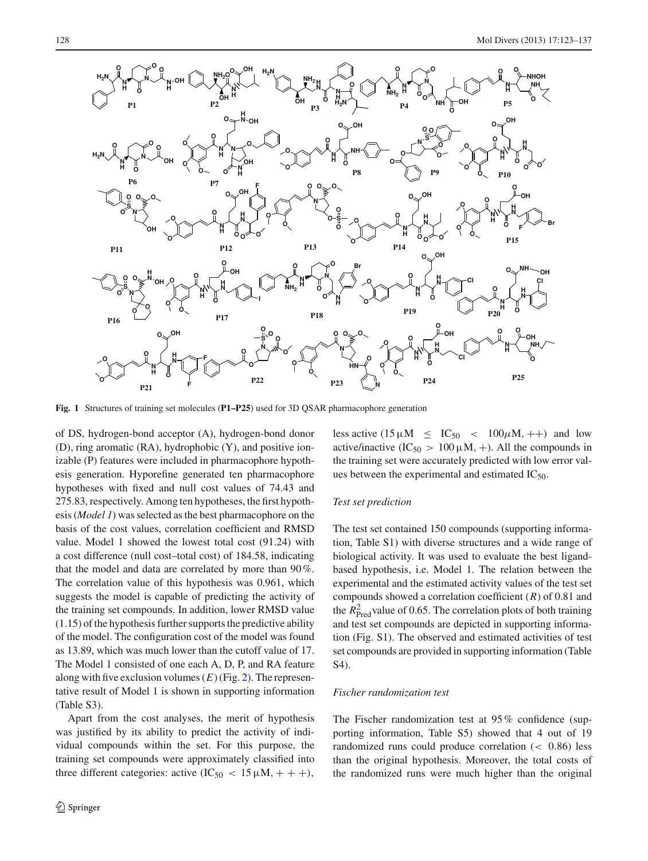

<span id="page-5-0"></span>**Fig. 1** Structures of training set molecules (**P1–P25**) used for 3D QSAR pharmacophore generation

of DS, hydrogen-bond acceptor (A), hydrogen-bond donor (D), ring aromatic (RA), hydrophobic (Y), and positive ionizable (P) features were included in pharmacophore hypothesis generation. Hyporefine generated ten pharmacophore hypotheses with fixed and null cost values of 74.43 and 275.83, respectively. Among ten hypotheses, the first hypothesis (*Model 1*) was selected as the best pharmacophore on the basis of the cost values, correlation coefficient and RMSD value. Model 1 showed the lowest total cost (91.24) with a cost difference (null cost–total cost) of 184.58, indicating that the model and data are correlated by more than 90%. The correlation value of this hypothesis was 0.961, which suggests the model is capable of predicting the activity of the training set compounds. In addition, lower RMSD value (1.15) of the hypothesis further supports the predictive ability of the model. The configuration cost of the model was found as 13.89, which was much lower than the cutoff value of 17. The Model 1 consisted of one each A, D, P, and RA feature along with five exclusion volumes  $(E)$  (Fig. [2\)](#page-6-0). The representative result of Model 1 is shown in supporting information (Table S3).

Apart from the cost analyses, the merit of hypothesis was justified by its ability to predict the activity of individual compounds within the set. For this purpose, the training set compounds were approximately classified into three different categories: active  $(IC_{50} < 15 \mu M, ++$ ),

less active (15  $\mu$ M  $\leq$  IC<sub>50</sub>  $\lt$  100 $\mu$ M, ++) and low active/inactive (IC<sub>50</sub> > 100  $\mu$ M, +). All the compounds in the training set were accurately predicted with low error values between the experimental and estimated  $IC_{50}$ .

#### *Test set prediction*

The test set contained 150 compounds (supporting information, Table S1) with diverse structures and a wide range of biological activity. It was used to evaluate the best ligandbased hypothesis, i.e. Model 1. The relation between the experimental and the estimated activity values of the test set compounds showed a correlation coefficient (*R*) of 0.81 and the  $R_{\text{Pred}}^2$  value of 0.65. The correlation plots of both training and test set compounds are depicted in supporting information (Fig. S1). The observed and estimated activities of test set compounds are provided in supporting information (Table S4).

# *Fischer randomization test*

The Fischer randomization test at 95% confidence (supporting information, Table S5) showed that 4 out of 19 randomized runs could produce correlation (< 0.86) less than the original hypothesis. Moreover, the total costs of the randomized runs were much higher than the original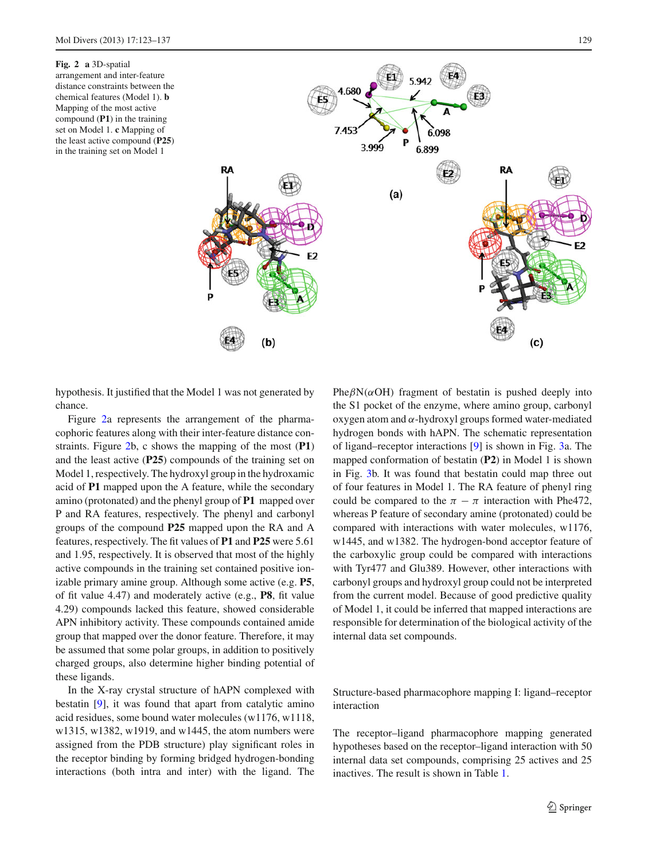<span id="page-6-0"></span>**Fig. 2 a** 3D-spatial arrangement and inter-feature distance constraints between the chemical features (Model 1). **b** Mapping of the most active compound (**P1**) in the training set on Model 1. **c** Mapping of the least active compound (**P25**) in the training set on Model 1



hypothesis. It justified that the Model 1 was not generated by chance.

Figure [2a](#page-6-0) represents the arrangement of the pharmacophoric features along with their inter-feature distance constraints. Figure [2b](#page-6-0), c shows the mapping of the most (**P1**) and the least active (**P25**) compounds of the training set on Model 1, respectively. The hydroxyl group in the hydroxamic acid of **P1** mapped upon the A feature, while the secondary amino (protonated) and the phenyl group of **P1** mapped over P and RA features, respectively. The phenyl and carbonyl groups of the compound **P25** mapped upon the RA and A features, respectively. The fit values of **P1** and **P25** were 5.61 and 1.95, respectively. It is observed that most of the highly active compounds in the training set contained positive ionizable primary amine group. Although some active (e.g. **P5**, of fit value 4.47) and moderately active (e.g., **P8**, fit value 4.29) compounds lacked this feature, showed considerable APN inhibitory activity. These compounds contained amide group that mapped over the donor feature. Therefore, it may be assumed that some polar groups, in addition to positively charged groups, also determine higher binding potential of these ligands.

In the X-ray crystal structure of hAPN complexed with bestatin [\[9](#page-13-3)], it was found that apart from catalytic amino acid residues, some bound water molecules (w1176, w1118, w1315, w1382, w1919, and w1445, the atom numbers were assigned from the PDB structure) play significant roles in the receptor binding by forming bridged hydrogen-bonding interactions (both intra and inter) with the ligand. The Phe $\beta$ N( $\alpha$ OH) fragment of bestatin is pushed deeply into the S1 pocket of the enzyme, where amino group, carbonyl oxygen atom and α-hydroxyl groups formed water-mediated hydrogen bonds with hAPN. The schematic representation of ligand–receptor interactions [\[9](#page-13-3)] is shown in Fig. [3a](#page-7-0). The mapped conformation of bestatin (**P2**) in Model 1 is shown in Fig. [3b](#page-7-0). It was found that bestatin could map three out of four features in Model 1. The RA feature of phenyl ring could be compared to the  $\pi - \pi$  interaction with Phe472, whereas P feature of secondary amine (protonated) could be compared with interactions with water molecules, w1176, w1445, and w1382. The hydrogen-bond acceptor feature of the carboxylic group could be compared with interactions with Tyr477 and Glu389. However, other interactions with carbonyl groups and hydroxyl group could not be interpreted from the current model. Because of good predictive quality of Model 1, it could be inferred that mapped interactions are responsible for determination of the biological activity of the internal data set compounds.

Structure-based pharmacophore mapping I: ligand–receptor interaction

The receptor–ligand pharmacophore mapping generated hypotheses based on the receptor–ligand interaction with 50 internal data set compounds, comprising 25 actives and 25 inactives. The result is shown in Table [1.](#page-7-1)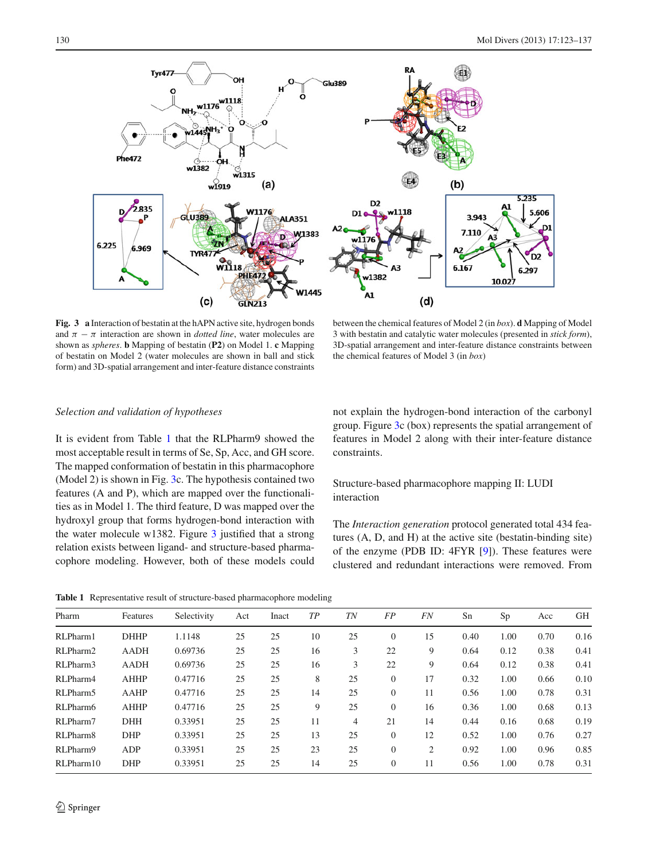

<span id="page-7-0"></span>**Fig. 3 a** Interaction of bestatin at the hAPN active site, hydrogen bonds and  $\pi - \pi$  interaction are shown in *dotted line*, water molecules are shown as *spheres*. **b** Mapping of bestatin (**P2**) on Model 1. **c** Mapping of bestatin on Model 2 (water molecules are shown in ball and stick form) and 3D-spatial arrangement and inter-feature distance constraints

between the chemical features of Model 2 (in *box*). **d** Mapping of Model 3 with bestatin and catalytic water molecules (presented in *stick form*), 3D-spatial arrangement and inter-feature distance constraints between the chemical features of Model 3 (in *box*)

#### *Selection and validation of hypotheses*

It is evident from Table [1](#page-7-1) that the RLPharm9 showed the most acceptable result in terms of Se, Sp, Acc, and GH score. The mapped conformation of bestatin in this pharmacophore (Model 2) is shown in Fig. [3c](#page-7-0). The hypothesis contained two features (A and P), which are mapped over the functionalities as in Model 1. The third feature, D was mapped over the hydroxyl group that forms hydrogen-bond interaction with the water molecule w1382. Figure [3](#page-7-0) justified that a strong relation exists between ligand- and structure-based pharmacophore modeling. However, both of these models could not explain the hydrogen-bond interaction of the carbonyl group. Figure [3c](#page-7-0) (box) represents the spatial arrangement of features in Model 2 along with their inter-feature distance constraints.

# Structure-based pharmacophore mapping II: LUDI interaction

The *Interaction generation* protocol generated total 434 features (A, D, and H) at the active site (bestatin-binding site) of the enzyme (PDB ID: 4FYR [\[9](#page-13-3)]). These features were clustered and redundant interactions were removed. From

**Table 1** Representative result of structure-based pharmacophore modeling

<span id="page-7-1"></span>

| Pharm                | Features    | Selectivity | Act | Inact | TP | <b>TN</b> | <i>FP</i> | <b>FN</b>      | Sn   | Sp   | Acc  | <b>GH</b> |
|----------------------|-------------|-------------|-----|-------|----|-----------|-----------|----------------|------|------|------|-----------|
| RLPharm1             | <b>DHHP</b> | 1.1148      | 25  | 25    | 10 | 25        | $\theta$  | 15             | 0.40 | 1.00 | 0.70 | 0.16      |
| RLPharm2             | <b>AADH</b> | 0.69736     | 25  | 25    | 16 | 3         | 22        | 9              | 0.64 | 0.12 | 0.38 | 0.41      |
| RLPharm3             | <b>AADH</b> | 0.69736     | 25  | 25    | 16 | 3         | 22        | 9              | 0.64 | 0.12 | 0.38 | 0.41      |
| RLPharm4             | <b>AHHP</b> | 0.47716     | 25  | 25    | 8  | 25        | $\Omega$  | 17             | 0.32 | 1.00 | 0.66 | 0.10      |
| RLPharm <sub>5</sub> | AAHP        | 0.47716     | 25  | 25    | 14 | 25        | $\theta$  | 11             | 0.56 | 1.00 | 0.78 | 0.31      |
| RLPharm6             | <b>AHHP</b> | 0.47716     | 25  | 25    | 9  | 25        | $\Omega$  | 16             | 0.36 | 1.00 | 0.68 | 0.13      |
| RLPharm7             | <b>DHH</b>  | 0.33951     | 25  | 25    | 11 | 4         | 21        | 14             | 0.44 | 0.16 | 0.68 | 0.19      |
| RLPharm <sub>8</sub> | <b>DHP</b>  | 0.33951     | 25  | 25    | 13 | 25        | $\Omega$  | 12             | 0.52 | 1.00 | 0.76 | 0.27      |
| RLPharm9             | ADP         | 0.33951     | 25  | 25    | 23 | 25        | $\theta$  | $\overline{2}$ | 0.92 | 1.00 | 0.96 | 0.85      |
| RLPharm10            | <b>DHP</b>  | 0.33951     | 25  | 25    | 14 | 25        | $\theta$  | 11             | 0.56 | 1.00 | 0.78 | 0.31      |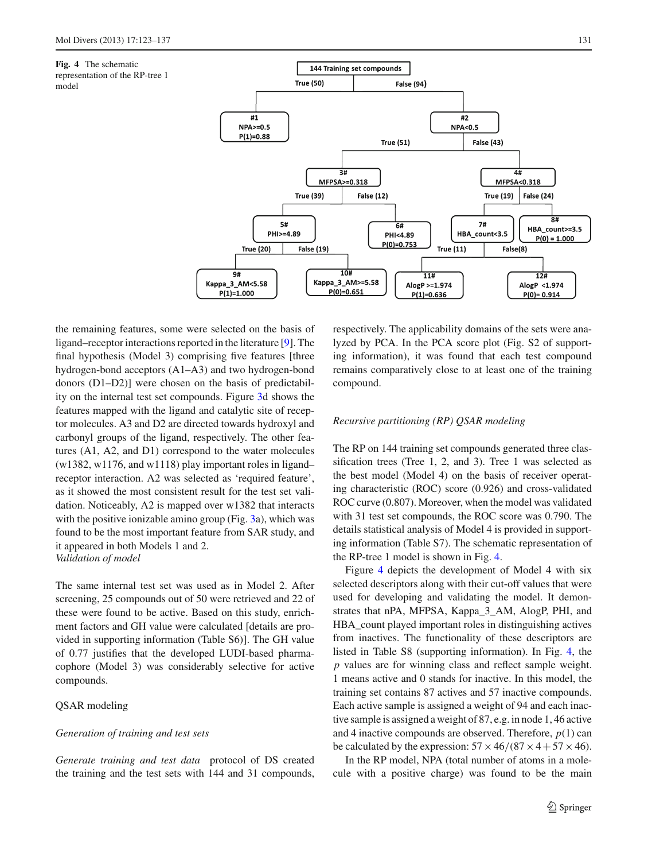<span id="page-8-0"></span>



the remaining features, some were selected on the basis of ligand–receptor interactions reported in the literature [\[9](#page-13-3)]. The final hypothesis (Model 3) comprising five features [three hydrogen-bond acceptors (A1–A3) and two hydrogen-bond donors (D1–D2)] were chosen on the basis of predictability on the internal test set compounds. Figure [3d](#page-7-0) shows the features mapped with the ligand and catalytic site of receptor molecules. A3 and D2 are directed towards hydroxyl and carbonyl groups of the ligand, respectively. The other features (A1, A2, and D1) correspond to the water molecules (w1382, w1176, and w1118) play important roles in ligand– receptor interaction. A2 was selected as 'required feature', as it showed the most consistent result for the test set validation. Noticeably, A2 is mapped over w1382 that interacts with the positive ionizable amino group (Fig. [3a](#page-7-0)), which was found to be the most important feature from SAR study, and it appeared in both Models 1 and 2. *Validation of model*

The same internal test set was used as in Model 2. After screening, 25 compounds out of 50 were retrieved and 22 of these were found to be active. Based on this study, enrichment factors and GH value were calculated [details are provided in supporting information (Table S6)]. The GH value of 0.77 justifies that the developed LUDI-based pharmacophore (Model 3) was considerably selective for active compounds.

# QSAR modeling

## *Generation of training and test sets*

*Generate training and test data* protocol of DS created the training and the test sets with 144 and 31 compounds,

respectively. The applicability domains of the sets were analyzed by PCA. In the PCA score plot (Fig. S2 of supporting information), it was found that each test compound remains comparatively close to at least one of the training compound.

## *Recursive partitioning (RP) QSAR modeling*

The RP on 144 training set compounds generated three classification trees (Tree 1, 2, and 3). Tree 1 was selected as the best model (Model 4) on the basis of receiver operating characteristic (ROC) score (0.926) and cross-validated ROC curve (0.807). Moreover, when the model was validated with 31 test set compounds, the ROC score was 0.790. The details statistical analysis of Model 4 is provided in supporting information (Table S7). The schematic representation of the RP-tree 1 model is shown in Fig. [4.](#page-8-0)

Figure [4](#page-8-0) depicts the development of Model 4 with six selected descriptors along with their cut-off values that were used for developing and validating the model. It demonstrates that nPA, MFPSA, Kappa\_3\_AM, AlogP, PHI, and HBA\_count played important roles in distinguishing actives from inactives. The functionality of these descriptors are listed in Table S8 (supporting information). In Fig. [4,](#page-8-0) the *p* values are for winning class and reflect sample weight. 1 means active and 0 stands for inactive. In this model, the training set contains 87 actives and 57 inactive compounds. Each active sample is assigned a weight of 94 and each inactive sample is assigned a weight of 87, e.g. in node 1, 46 active and 4 inactive compounds are observed. Therefore, *p*(1) can be calculated by the expression:  $57 \times 46/(87 \times 4 + 57 \times 46)$ .

In the RP model, NPA (total number of atoms in a molecule with a positive charge) was found to be the main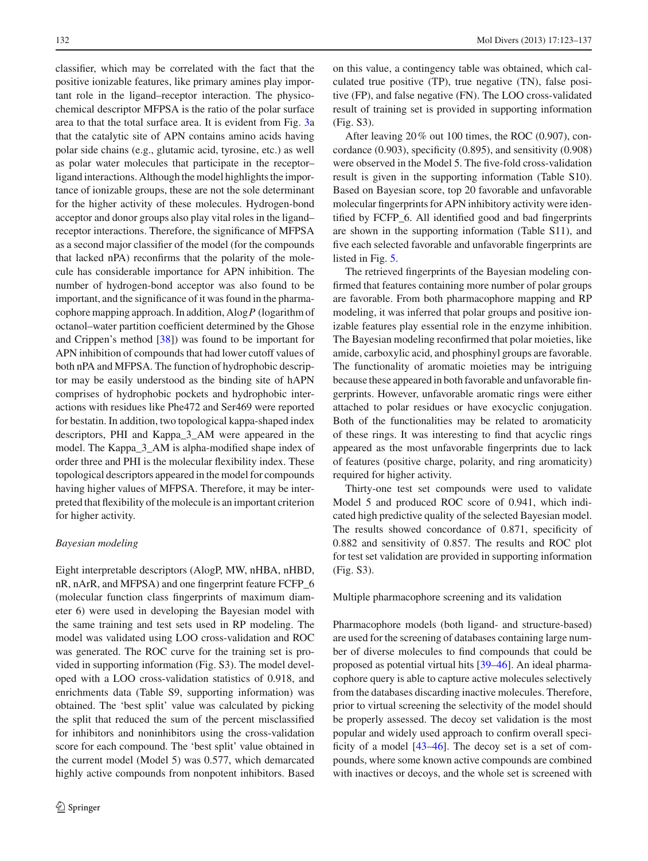classifier, which may be correlated with the fact that the positive ionizable features, like primary amines play important role in the ligand–receptor interaction. The physicochemical descriptor MFPSA is the ratio of the polar surface area to that the total surface area. It is evident from Fig. [3a](#page-7-0) that the catalytic site of APN contains amino acids having polar side chains (e.g., glutamic acid, tyrosine, etc.) as well as polar water molecules that participate in the receptor– ligand interactions. Although the model highlights the importance of ionizable groups, these are not the sole determinant for the higher activity of these molecules. Hydrogen-bond acceptor and donor groups also play vital roles in the ligand– receptor interactions. Therefore, the significance of MFPSA as a second major classifier of the model (for the compounds that lacked nPA) reconfirms that the polarity of the molecule has considerable importance for APN inhibition. The number of hydrogen-bond acceptor was also found to be important, and the significance of it was found in the pharmacophore mapping approach. In addition, Alog*P* (logarithm of octanol–water partition coefficient determined by the Ghose and Crippen's method [\[38](#page-13-24)]) was found to be important for APN inhibition of compounds that had lower cutoff values of both nPA and MFPSA. The function of hydrophobic descriptor may be easily understood as the binding site of hAPN comprises of hydrophobic pockets and hydrophobic interactions with residues like Phe472 and Ser469 were reported for bestatin. In addition, two topological kappa-shaped index descriptors, PHI and Kappa\_3\_AM were appeared in the model. The Kappa\_3\_AM is alpha-modified shape index of order three and PHI is the molecular flexibility index. These topological descriptors appeared in the model for compounds having higher values of MFPSA. Therefore, it may be interpreted that flexibility of the molecule is an important criterion for higher activity.

## *Bayesian modeling*

Eight interpretable descriptors (AlogP, MW, nHBA, nHBD, nR, nArR, and MFPSA) and one fingerprint feature FCFP 6 (molecular function class fingerprints of maximum diameter 6) were used in developing the Bayesian model with the same training and test sets used in RP modeling. The model was validated using LOO cross-validation and ROC was generated. The ROC curve for the training set is provided in supporting information (Fig. S3). The model developed with a LOO cross-validation statistics of 0.918, and enrichments data (Table S9, supporting information) was obtained. The 'best split' value was calculated by picking the split that reduced the sum of the percent misclassified for inhibitors and noninhibitors using the cross-validation score for each compound. The 'best split' value obtained in the current model (Model 5) was 0.577, which demarcated highly active compounds from nonpotent inhibitors. Based on this value, a contingency table was obtained, which calculated true positive (TP), true negative (TN), false positive (FP), and false negative (FN). The LOO cross-validated result of training set is provided in supporting information (Fig. S3).

After leaving 20% out 100 times, the ROC (0.907), concordance (0.903), specificity (0.895), and sensitivity (0.908) were observed in the Model 5. The five-fold cross-validation result is given in the supporting information (Table S10). Based on Bayesian score, top 20 favorable and unfavorable molecular fingerprints for APN inhibitory activity were identified by FCFP\_6. All identified good and bad fingerprints are shown in the supporting information (Table S11), and five each selected favorable and unfavorable fingerprints are listed in Fig. [5.](#page-10-0)

The retrieved fingerprints of the Bayesian modeling confirmed that features containing more number of polar groups are favorable. From both pharmacophore mapping and RP modeling, it was inferred that polar groups and positive ionizable features play essential role in the enzyme inhibition. The Bayesian modeling reconfirmed that polar moieties, like amide, carboxylic acid, and phosphinyl groups are favorable. The functionality of aromatic moieties may be intriguing because these appeared in both favorable and unfavorable fingerprints. However, unfavorable aromatic rings were either attached to polar residues or have exocyclic conjugation. Both of the functionalities may be related to aromaticity of these rings. It was interesting to find that acyclic rings appeared as the most unfavorable fingerprints due to lack of features (positive charge, polarity, and ring aromaticity) required for higher activity.

Thirty-one test set compounds were used to validate Model 5 and produced ROC score of 0.941, which indicated high predictive quality of the selected Bayesian model. The results showed concordance of 0.871, specificity of 0.882 and sensitivity of 0.857. The results and ROC plot for test set validation are provided in supporting information (Fig. S3).

Multiple pharmacophore screening and its validation

Pharmacophore models (both ligand- and structure-based) are used for the screening of databases containing large number of diverse molecules to find compounds that could be proposed as potential virtual hits [\[39](#page-13-25)[–46](#page-14-0)]. An ideal pharmacophore query is able to capture active molecules selectively from the databases discarding inactive molecules. Therefore, prior to virtual screening the selectivity of the model should be properly assessed. The decoy set validation is the most popular and widely used approach to confirm overall specificity of a model [\[43](#page-14-1)[–46](#page-14-0)]. The decoy set is a set of compounds, where some known active compounds are combined with inactives or decoys, and the whole set is screened with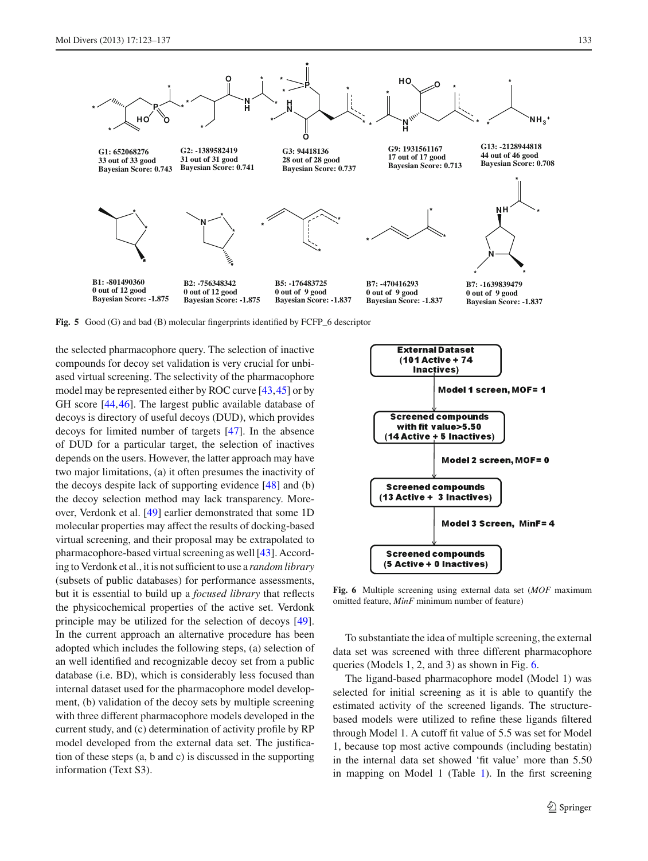

<span id="page-10-0"></span>**Fig. 5** Good (G) and bad (B) molecular fingerprints identified by FCFP\_6 descriptor

the selected pharmacophore query. The selection of inactive compounds for decoy set validation is very crucial for unbiased virtual screening. The selectivity of the pharmacophore model may be represented either by ROC curve [\[43,](#page-14-1)[45\]](#page-14-2) or by GH score [\[44](#page-14-3)[,46](#page-14-0)]. The largest public available database of decoys is directory of useful decoys (DUD), which provides decoys for limited number of targets [\[47\]](#page-14-4). In the absence of DUD for a particular target, the selection of inactives depends on the users. However, the latter approach may have two major limitations, (a) it often presumes the inactivity of the decoys despite lack of supporting evidence [\[48](#page-14-5)] and (b) the decoy selection method may lack transparency. Moreover, Verdonk et al. [\[49](#page-14-6)] earlier demonstrated that some 1D molecular properties may affect the results of docking-based virtual screening, and their proposal may be extrapolated to pharmacophore-based virtual screening as well [\[43](#page-14-1)]. According to Verdonk et al., it is not sufficient to use a *random library* (subsets of public databases) for performance assessments, but it is essential to build up a *focused library* that reflects the physicochemical properties of the active set. Verdonk principle may be utilized for the selection of decoys [\[49](#page-14-6)]. In the current approach an alternative procedure has been adopted which includes the following steps, (a) selection of an well identified and recognizable decoy set from a public database (i.e. BD), which is considerably less focused than internal dataset used for the pharmacophore model development, (b) validation of the decoy sets by multiple screening with three different pharmacophore models developed in the current study, and (c) determination of activity profile by RP model developed from the external data set. The justification of these steps (a, b and c) is discussed in the supporting information (Text S3).



<span id="page-10-1"></span>**Fig. 6** Multiple screening using external data set (*MOF* maximum omitted feature, *MinF* minimum number of feature)

To substantiate the idea of multiple screening, the external data set was screened with three different pharmacophore queries (Models 1, 2, and 3) as shown in Fig. [6.](#page-10-1)

The ligand-based pharmacophore model (Model 1) was selected for initial screening as it is able to quantify the estimated activity of the screened ligands. The structurebased models were utilized to refine these ligands filtered through Model 1. A cutoff fit value of 5.5 was set for Model 1, because top most active compounds (including bestatin) in the internal data set showed 'fit value' more than 5.50 in mapping on Model 1 (Table [1\)](#page-7-1). In the first screening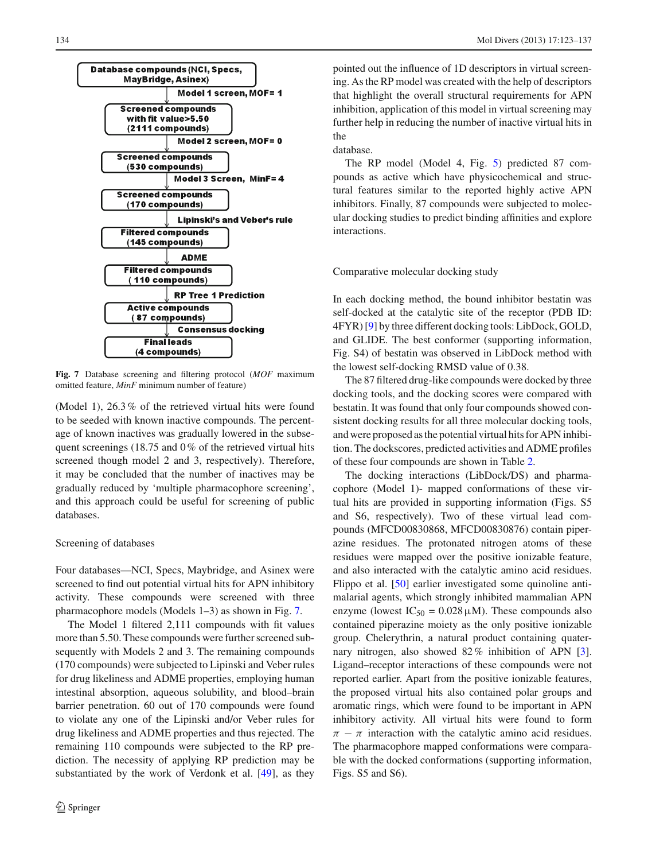

<span id="page-11-0"></span>**Fig. 7** Database screening and filtering protocol (*MOF* maximum omitted feature, *MinF* minimum number of feature)

(Model 1), 26.3% of the retrieved virtual hits were found to be seeded with known inactive compounds. The percentage of known inactives was gradually lowered in the subsequent screenings (18.75 and 0% of the retrieved virtual hits screened though model 2 and 3, respectively). Therefore, it may be concluded that the number of inactives may be gradually reduced by 'multiple pharmacophore screening', and this approach could be useful for screening of public databases.

#### Screening of databases

Four databases—NCI, Specs, Maybridge, and Asinex were screened to find out potential virtual hits for APN inhibitory activity. These compounds were screened with three pharmacophore models (Models 1–3) as shown in Fig. [7.](#page-11-0)

The Model 1 filtered 2,111 compounds with fit values more than 5.50. These compounds were further screened subsequently with Models 2 and 3. The remaining compounds (170 compounds) were subjected to Lipinski and Veber rules for drug likeliness and ADME properties, employing human intestinal absorption, aqueous solubility, and blood–brain barrier penetration. 60 out of 170 compounds were found to violate any one of the Lipinski and/or Veber rules for drug likeliness and ADME properties and thus rejected. The remaining 110 compounds were subjected to the RP prediction. The necessity of applying RP prediction may be substantiated by the work of Verdonk et al. [\[49\]](#page-14-6), as they pointed out the influence of 1D descriptors in virtual screening. As the RP model was created with the help of descriptors that highlight the overall structural requirements for APN inhibition, application of this model in virtual screening may further help in reducing the number of inactive virtual hits in the

database.

The RP model (Model 4, Fig. [5\)](#page-10-0) predicted 87 compounds as active which have physicochemical and structural features similar to the reported highly active APN inhibitors. Finally, 87 compounds were subjected to molecular docking studies to predict binding affinities and explore interactions.

Comparative molecular docking study

In each docking method, the bound inhibitor bestatin was self-docked at the catalytic site of the receptor (PDB ID: 4FYR) [\[9\]](#page-13-3) by three different docking tools: LibDock, GOLD, and GLIDE. The best conformer (supporting information, Fig. S4) of bestatin was observed in LibDock method with the lowest self-docking RMSD value of 0.38.

The 87 filtered drug-like compounds were docked by three docking tools, and the docking scores were compared with bestatin. It was found that only four compounds showed consistent docking results for all three molecular docking tools, and were proposed as the potential virtual hits for APN inhibition. The dockscores, predicted activities and ADME profiles of these four compounds are shown in Table [2.](#page-12-5)

The docking interactions (LibDock/DS) and pharmacophore (Model 1)- mapped conformations of these virtual hits are provided in supporting information (Figs. S5 and S6, respectively). Two of these virtual lead compounds (MFCD00830868, MFCD00830876) contain piperazine residues. The protonated nitrogen atoms of these residues were mapped over the positive ionizable feature, and also interacted with the catalytic amino acid residues. Flippo et al. [\[50](#page-14-7)] earlier investigated some quinoline antimalarial agents, which strongly inhibited mammalian APN enzyme (lowest  $IC_{50} = 0.028 \mu M$ ). These compounds also contained piperazine moiety as the only positive ionizable group. Chelerythrin, a natural product containing quaternary nitrogen, also showed 82% inhibition of APN [\[3](#page-12-2)]. Ligand–receptor interactions of these compounds were not reported earlier. Apart from the positive ionizable features, the proposed virtual hits also contained polar groups and aromatic rings, which were found to be important in APN inhibitory activity. All virtual hits were found to form  $\pi - \pi$  interaction with the catalytic amino acid residues. The pharmacophore mapped conformations were comparable with the docked conformations (supporting information, Figs. S5 and S6).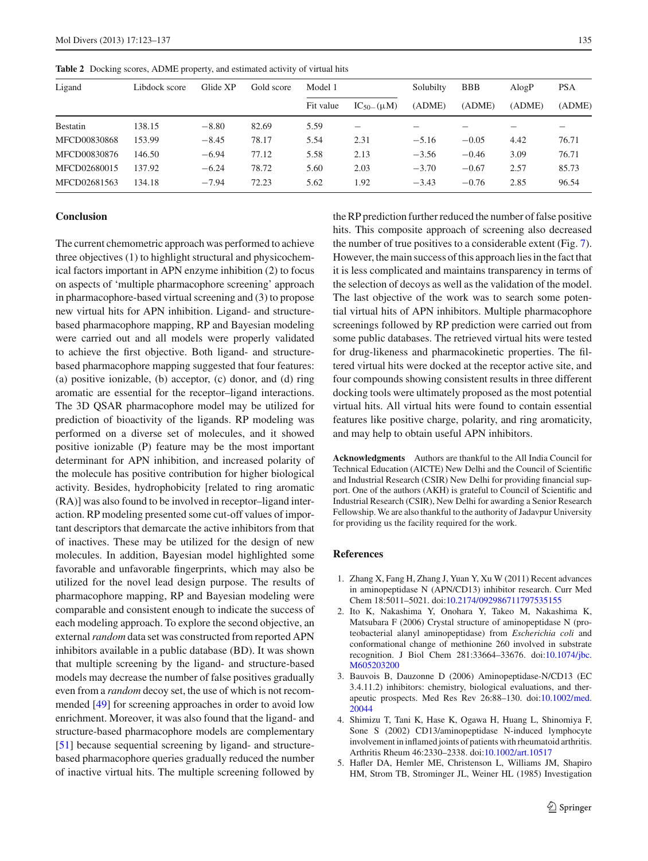<span id="page-12-5"></span>

| Ligand          | Libdock score | Glide XP | Gold score | Model 1   |                   | Solubilty | <b>BBB</b> | AlogP  | <b>PSA</b> |
|-----------------|---------------|----------|------------|-----------|-------------------|-----------|------------|--------|------------|
|                 |               |          |            | Fit value | $IC_{50-}(\mu M)$ | (ADME)    | (ADME)     | (ADME) | (ADME)     |
| <b>Bestatin</b> | 138.15        | $-8.80$  | 82.69      | 5.59      |                   |           |            |        |            |
| MFCD00830868    | 153.99        | $-8.45$  | 78.17      | 5.54      | 2.31              | $-5.16$   | $-0.05$    | 4.42   | 76.71      |
| MFCD00830876    | 146.50        | $-6.94$  | 77.12      | 5.58      | 2.13              | $-3.56$   | $-0.46$    | 3.09   | 76.71      |
| MFCD02680015    | 137.92        | $-6.24$  | 78.72      | 5.60      | 2.03              | $-3.70$   | $-0.67$    | 2.57   | 85.73      |
| MFCD02681563    | 134.18        | $-7.94$  | 72.23      | 5.62      | 1.92              | $-3.43$   | $-0.76$    | 2.85   | 96.54      |

**Table 2** Docking scores, ADME property, and estimated activity of virtual hits

# **Conclusion**

The current chemometric approach was performed to achieve three objectives (1) to highlight structural and physicochemical factors important in APN enzyme inhibition (2) to focus on aspects of 'multiple pharmacophore screening' approach in pharmacophore-based virtual screening and (3) to propose new virtual hits for APN inhibition. Ligand- and structurebased pharmacophore mapping, RP and Bayesian modeling were carried out and all models were properly validated to achieve the first objective. Both ligand- and structurebased pharmacophore mapping suggested that four features: (a) positive ionizable, (b) acceptor, (c) donor, and (d) ring aromatic are essential for the receptor–ligand interactions. The 3D QSAR pharmacophore model may be utilized for prediction of bioactivity of the ligands. RP modeling was performed on a diverse set of molecules, and it showed positive ionizable (P) feature may be the most important determinant for APN inhibition, and increased polarity of the molecule has positive contribution for higher biological activity. Besides, hydrophobicity [related to ring aromatic (RA)] was also found to be involved in receptor–ligand interaction. RP modeling presented some cut-off values of important descriptors that demarcate the active inhibitors from that of inactives. These may be utilized for the design of new molecules. In addition, Bayesian model highlighted some favorable and unfavorable fingerprints, which may also be utilized for the novel lead design purpose. The results of pharmacophore mapping, RP and Bayesian modeling were comparable and consistent enough to indicate the success of each modeling approach. To explore the second objective, an external*random* data set was constructed from reported APN inhibitors available in a public database (BD). It was shown that multiple screening by the ligand- and structure-based models may decrease the number of false positives gradually even from a *random* decoy set, the use of which is not recommended [\[49](#page-14-6)] for screening approaches in order to avoid low enrichment. Moreover, it was also found that the ligand- and structure-based pharmacophore models are complementary [\[51](#page-14-8)] because sequential screening by ligand- and structurebased pharmacophore queries gradually reduced the number of inactive virtual hits. The multiple screening followed by the RP prediction further reduced the number of false positive hits. This composite approach of screening also decreased the number of true positives to a considerable extent (Fig. [7\)](#page-11-0). However, the main success of this approach lies in the fact that it is less complicated and maintains transparency in terms of the selection of decoys as well as the validation of the model. The last objective of the work was to search some potential virtual hits of APN inhibitors. Multiple pharmacophore screenings followed by RP prediction were carried out from some public databases. The retrieved virtual hits were tested for drug-likeness and pharmacokinetic properties. The filtered virtual hits were docked at the receptor active site, and four compounds showing consistent results in three different docking tools were ultimately proposed as the most potential virtual hits. All virtual hits were found to contain essential features like positive charge, polarity, and ring aromaticity, and may help to obtain useful APN inhibitors.

**Acknowledgments** Authors are thankful to the All India Council for Technical Education (AICTE) New Delhi and the Council of Scientific and Industrial Research (CSIR) New Delhi for providing financial support. One of the authors (AKH) is grateful to Council of Scientific and Industrial Research (CSIR), New Delhi for awarding a Senior Research Fellowship. We are also thankful to the authority of Jadavpur University for providing us the facility required for the work.

#### **References**

- <span id="page-12-0"></span>1. Zhang X, Fang H, Zhang J, Yuan Y, Xu W (2011) Recent advances in aminopeptidase N (APN/CD13) inhibitor research. Curr Med Chem 18:5011–5021. doi[:10.2174/092986711797535155](http://dx.doi.org/10.2174/092986711797535155)
- <span id="page-12-1"></span>2. Ito K, Nakashima Y, Onohara Y, Takeo M, Nakashima K, Matsubara F (2006) Crystal structure of aminopeptidase N (proteobacterial alanyl aminopeptidase) from *Escherichia coli* and conformational change of methionine 260 involved in substrate recognition. J Biol Chem 281:33664–33676. doi[:10.1074/jbc.](http://dx.doi.org/10.1074/jbc.M605203200) [M605203200](http://dx.doi.org/10.1074/jbc.M605203200)
- <span id="page-12-2"></span>3. Bauvois B, Dauzonne D (2006) Aminopeptidase-N/CD13 (EC 3.4.11.2) inhibitors: chemistry, biological evaluations, and therapeutic prospects. Med Res Rev 26:88–130. doi[:10.1002/med.](http://dx.doi.org/10.1002/med.20044) [20044](http://dx.doi.org/10.1002/med.20044)
- <span id="page-12-3"></span>4. Shimizu T, Tani K, Hase K, Ogawa H, Huang L, Shinomiya F, Sone S (2002) CD13/aminopeptidase N-induced lymphocyte involvement in inflamed joints of patients with rheumatoid arthritis. Arthritis Rheum 46:2330–2338. doi[:10.1002/art.10517](http://dx.doi.org/10.1002/art.10517)
- <span id="page-12-4"></span>5. Hafler DA, Hemler ME, Christenson L, Williams JM, Shapiro HM, Strom TB, Strominger JL, Weiner HL (1985) Investigation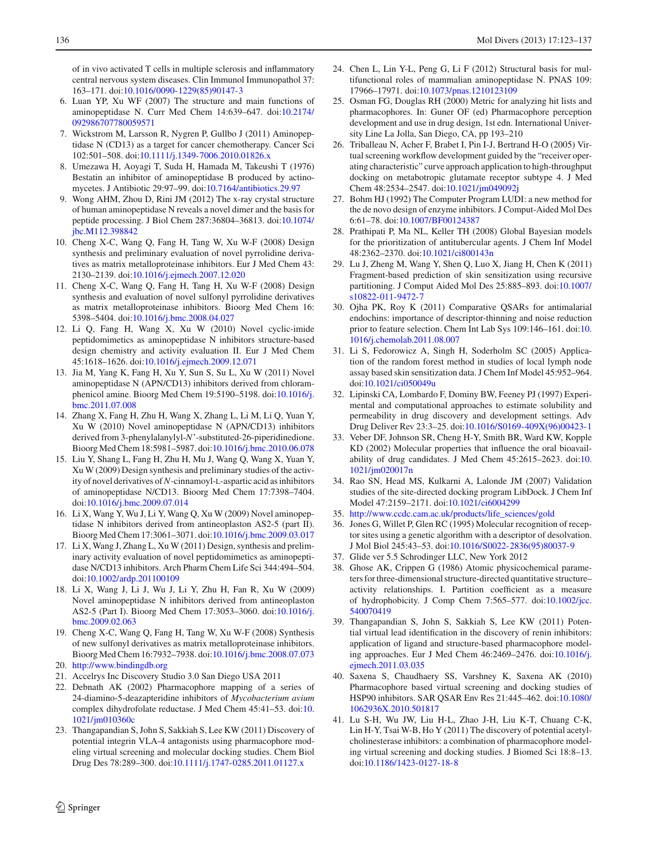of in vivo activated T cells in multiple sclerosis and inflammatory central nervous system diseases. Clin Immunol Immunopathol 37: 163–171. doi[:10.1016/0090-1229\(85\)90147-3](http://dx.doi.org/10.1016/0090-1229(85)90147-3)

- <span id="page-13-0"></span>6. Luan YP, Xu WF (2007) The structure and main functions of aminopeptidase N. Curr Med Chem 14:639–647. doi[:10.2174/](http://dx.doi.org/10.2174/092986707780059571) [092986707780059571](http://dx.doi.org/10.2174/092986707780059571)
- <span id="page-13-1"></span>7. Wickstrom M, Larsson R, Nygren P, Gullbo J (2011) Aminopeptidase N (CD13) as a target for cancer chemotherapy. Cancer Sci 102:501–508. doi[:10.1111/j.1349-7006.2010.01826.x](http://dx.doi.org/10.1111/j.1349-7006.2010.01826.x)
- <span id="page-13-2"></span>8. Umezawa H, Aoyagi T, Suda H, Hamada M, Takeushi T (1976) Bestatin an inhibitor of aminopeptidase B produced by actinomycetes. J Antibiotic 29:97–99. doi[:10.7164/antibiotics.29.97](http://dx.doi.org/10.7164/antibiotics.29.97)
- <span id="page-13-3"></span>9. Wong AHM, Zhou D, Rini JM (2012) The x-ray crystal structure of human aminopeptidase N reveals a novel dimer and the basis for peptide processing. J Biol Chem 287:36804–36813. doi[:10.1074/](http://dx.doi.org/10.1074/jbc.M112.398842) [jbc.M112.398842](http://dx.doi.org/10.1074/jbc.M112.398842)
- <span id="page-13-4"></span>10. Cheng X-C, Wang Q, Fang H, Tang W, Xu W-F (2008) Design synthesis and preliminary evaluation of novel pyrrolidine derivatives as matrix metalloproteinase inhibitors. Eur J Med Chem 43: 2130–2139. doi[:10.1016/j.ejmech.2007.12.020](http://dx.doi.org/10.1016/j.ejmech.2007.12.020)
- 11. Cheng X-C, Wang Q, Fang H, Tang H, Xu W-F (2008) Design synthesis and evaluation of novel sulfonyl pyrrolidine derivatives as matrix metalloproteinase inhibitors. Bioorg Med Chem 16: 5398–5404. doi[:10.1016/j.bmc.2008.04.027](http://dx.doi.org/10.1016/j.bmc.2008.04.027)
- 12. Li Q, Fang H, Wang X, Xu W (2010) Novel cyclic-imide peptidomimetics as aminopeptidase N inhibitors structure-based design chemistry and activity evaluation II. Eur J Med Chem 45:1618–1626. doi[:10.1016/j.ejmech.2009.12.071](http://dx.doi.org/10.1016/j.ejmech.2009.12.071)
- 13. Jia M, Yang K, Fang H, Xu Y, Sun S, Su L, Xu W (2011) Novel aminopeptidase N (APN/CD13) inhibitors derived from chloramphenicol amine. Bioorg Med Chem 19:5190–5198. doi[:10.1016/j.](http://dx.doi.org/10.1016/j.bmc.2011.07.008) [bmc.2011.07.008](http://dx.doi.org/10.1016/j.bmc.2011.07.008)
- 14. Zhang X, Fang H, Zhu H, Wang X, Zhang L, Li M, Li Q, Yuan Y, Xu W (2010) Novel aminopeptidase N (APN/CD13) inhibitors derived from 3-phenylalanylyl-*N*'-substituted-26-piperidinedione. Bioorg Med Chem 18:5981–5987. doi[:10.1016/j.bmc.2010.06.078](http://dx.doi.org/10.1016/j.bmc.2010.06.078)
- 15. Liu Y, Shang L, Fang H, Zhu H, Mu J, Wang Q, Wang X, Yuan Y, Xu W (2009) Design synthesis and preliminary studies of the activity of novel derivatives of*N*-cinnamoyl-l-aspartic acid as inhibitors of aminopeptidase N/CD13. Bioorg Med Chem 17:7398–7404. doi[:10.1016/j.bmc.2009.07.014](http://dx.doi.org/10.1016/j.bmc.2009.07.014)
- 16. Li X, Wang Y, Wu J, Li Y, Wang Q, Xu W (2009) Novel aminopeptidase N inhibitors derived from antineoplaston AS2-5 (part II). Bioorg Med Chem 17:3061–3071. doi[:10.1016/j.bmc.2009.03.017](http://dx.doi.org/10.1016/j.bmc.2009.03.017)
- 17. Li X, Wang J, Zhang L, Xu W (2011) Design, synthesis and preliminary activity evaluation of novel peptidomimetics as aminopeptidase N/CD13 inhibitors. Arch Pharm Chem Life Sci 344:494–504. doi[:10.1002/ardp.201100109](http://dx.doi.org/10.1002/ardp.201100109)
- 18. Li X, Wang J, Li J, Wu J, Li Y, Zhu H, Fan R, Xu W (2009) Novel aminopeptidase N inhibitors derived from antineoplaston AS2-5 (Part I). Bioorg Med Chem 17:3053–3060. doi[:10.1016/j.](http://dx.doi.org/10.1016/j.bmc.2009.02.063) [bmc.2009.02.063](http://dx.doi.org/10.1016/j.bmc.2009.02.063)
- <span id="page-13-5"></span>19. Cheng X-C, Wang Q, Fang H, Tang W, Xu W-F (2008) Synthesis of new sulfonyl derivatives as matrix metalloproteinase inhibitors. Bioorg Med Chem 16:7932–7938. doi[:10.1016/j.bmc.2008.07.073](http://dx.doi.org/10.1016/j.bmc.2008.07.073)
- <span id="page-13-6"></span>20. <http://www.bindingdb.org>
- <span id="page-13-7"></span>21. Accelrys Inc Discovery Studio 3.0 San Diego USA 2011
- <span id="page-13-8"></span>22. Debnath AK (2002) Pharmacophore mapping of a series of 24-diamino-5-deazapteridine inhibitors of *Mycobacterium avium* complex dihydrofolate reductase. J Med Chem 45:41–53. doi[:10.](http://dx.doi.org/10.1021/jm010360c) [1021/jm010360c](http://dx.doi.org/10.1021/jm010360c)
- <span id="page-13-9"></span>23. Thangapandian S, John S, Sakkiah S, Lee KW (2011) Discovery of potential integrin VLA-4 antagonists using pharmacophore modeling virtual screening and molecular docking studies. Chem Biol Drug Des 78:289–300. doi[:10.1111/j.1747-0285.2011.01127.x](http://dx.doi.org/10.1111/j.1747-0285.2011.01127.x)
- <span id="page-13-10"></span>24. Chen L, Lin Y-L, Peng G, Li F (2012) Structural basis for multifunctional roles of mammalian aminopeptidase N. PNAS 109: 17966–17971. doi[:10.1073/pnas.1210123109](http://dx.doi.org/10.1073/pnas.1210123109)
- <span id="page-13-11"></span>25. Osman FG, Douglas RH (2000) Metric for analyzing hit lists and pharmacophores. In: Guner OF (ed) Pharmacophore perception development and use in drug design, 1st edn. International University Line La Jolla, San Diego, CA, pp 193–210
- <span id="page-13-12"></span>26. Triballeau N, Acher F, Brabet I, Pin I-J, Bertrand H-O (2005) Virtual screening workflow development guided by the "receiver operating characteristic" curve approach application to high-throughput docking on metabotropic glutamate receptor subtype 4. J Med Chem 48:2534–2547. doi[:10.1021/jm049092j](http://dx.doi.org/10.1021/jm049092j)
- <span id="page-13-13"></span>27. Bohm HJ (1992) The Computer Program LUDI: a new method for the de novo design of enzyme inhibitors. J Comput-Aided Mol Des 6:61–78. doi[:10.1007/BF00124387](http://dx.doi.org/10.1007/BF00124387)
- <span id="page-13-14"></span>28. Prathipati P, Ma NL, Keller TH (2008) Global Bayesian models for the prioritization of antitubercular agents. J Chem Inf Model 48:2362–2370. doi[:10.1021/ci800143n](http://dx.doi.org/10.1021/ci800143n)
- <span id="page-13-15"></span>29. Lu J, Zheng M, Wang Y, Shen Q, Luo X, Jiang H, Chen K (2011) Fragment-based prediction of skin sensitization using recursive partitioning. J Comput Aided Mol Des 25:885–893. doi[:10.1007/](http://dx.doi.org/10.1007/s10822-011-9472-7) [s10822-011-9472-7](http://dx.doi.org/10.1007/s10822-011-9472-7)
- <span id="page-13-16"></span>30. Ojha PK, Roy K (2011) Comparative QSARs for antimalarial endochins: importance of descriptor-thinning and noise reduction prior to feature selection. Chem Int Lab Sys 109:146–161. doi[:10.](http://dx.doi.org/10.1016/j.chemolab.2011.08.007) [1016/j.chemolab.2011.08.007](http://dx.doi.org/10.1016/j.chemolab.2011.08.007)
- <span id="page-13-17"></span>31. Li S, Fedorowicz A, Singh H, Soderholm SC (2005) Application of the random forest method in studies of local lymph node assay based skin sensitization data. J Chem Inf Model 45:952–964. doi[:10.1021/ci050049u](http://dx.doi.org/10.1021/ci050049u)
- <span id="page-13-18"></span>32. Lipinski CA, Lombardo F, Dominy BW, Feeney PJ (1997) Experimental and computational approaches to estimate solubility and permeability in drug discovery and development settings. Adv Drug Deliver Rev 23:3–25. doi[:10.1016/S0169-409X\(96\)00423-1](http://dx.doi.org/10.1016/S0169-409X(96)00423-1)
- <span id="page-13-19"></span>33. Veber DF, Johnson SR, Cheng H-Y, Smith BR, Ward KW, Kopple KD (2002) Molecular properties that influence the oral bioavailability of drug candidates. J Med Chem 45:2615–2623. doi[:10.](http://dx.doi.org/10.1021/jm020017n) [1021/jm020017n](http://dx.doi.org/10.1021/jm020017n)
- <span id="page-13-20"></span>34. Rao SN, Head MS, Kulkarni A, Lalonde JM (2007) Validation studies of the site-directed docking program LibDock. J Chem Inf Model 47:2159–2171. doi[:10.1021/ci6004299](http://dx.doi.org/10.1021/ci6004299)
- <span id="page-13-21"></span>35. [http://www.ccdc.cam.ac.uk/products/life\\_sciences/gold](http://www.ccdc.cam.ac.uk/products/life_sciences/gold)
- <span id="page-13-22"></span>36. Jones G, Willet P, Glen RC (1995) Molecular recognition of receptor sites using a genetic algorithm with a descriptor of desolvation. J Mol Biol 245:43–53. doi[:10.1016/S0022-2836\(95\)80037-9](http://dx.doi.org/10.1016/S0022-2836(95)80037-9)
- <span id="page-13-23"></span>37. Glide ver 5.5 Schrodinger LLC, New York 2012
- <span id="page-13-24"></span>38. Ghose AK, Crippen G (1986) Atomic physicochemical parameters for three-dimensional structure-directed quantitative structure– activity relationships. I. Partition coefficient as a measure of hydrophobicity. J Comp Chem 7:565–577. doi[:10.1002/jcc.](http://dx.doi.org/10.1002/jcc.540070419) [540070419](http://dx.doi.org/10.1002/jcc.540070419)
- <span id="page-13-25"></span>39. Thangapandian S, John S, Sakkiah S, Lee KW (2011) Potential virtual lead identification in the discovery of renin inhibitors: application of ligand and structure-based pharmacophore modeling approaches. Eur J Med Chem 46:2469–2476. doi[:10.1016/j.](http://dx.doi.org/10.1016/j.ejmech.2011.03.035) [ejmech.2011.03.035](http://dx.doi.org/10.1016/j.ejmech.2011.03.035)
- 40. Saxena S, Chaudhaery SS, Varshney K, Saxena AK (2010) Pharmacophore based virtual screening and docking studies of HSP90 inhibitors. SAR QSAR Env Res 21:445–462. doi[:10.1080/](http://dx.doi.org/10.1080/1062936X.2010.501817) [1062936X.2010.501817](http://dx.doi.org/10.1080/1062936X.2010.501817)
- 41. Lu S-H, Wu JW, Liu H-L, Zhao J-H, Liu K-T, Chuang C-K, Lin H-Y, Tsai W-B, Ho Y (2011) The discovery of potential acetylcholinesterase inhibitors: a combination of pharmacophore modeling virtual screening and docking studies. J Biomed Sci 18:8–13. doi[:10.1186/1423-0127-18-8](http://dx.doi.org/10.1186/1423-0127-18-8)